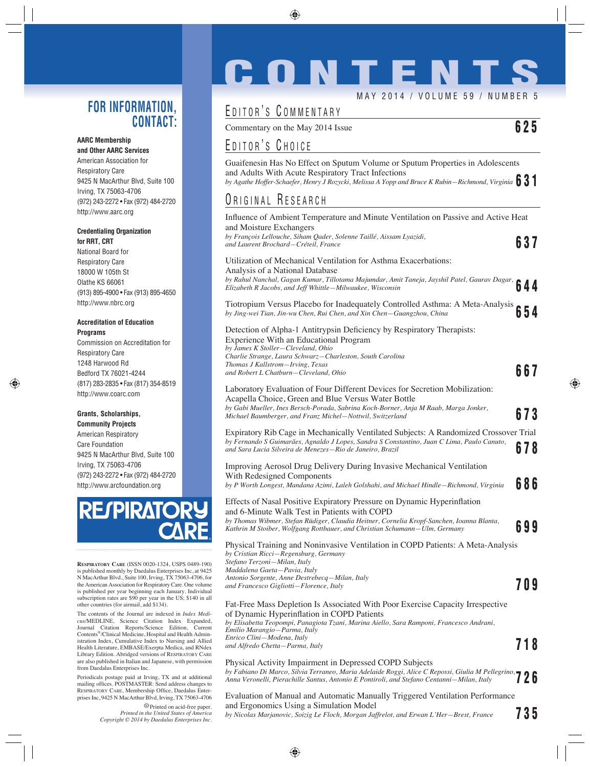## **FOR INFORMATION, CONTACT:**

#### **AARC Membership and Other AARC Services**

American Association for Respiratory Care 9425 N MacArthur Blvd, Suite 100 Irving, TX 75063-4706 (972) 243-2272 • Fax (972) 484-2720 http://www.aarc.org

## **Credentialing Organization for RRT, CRT**

National Board for Respiratory Care 18000 W 105th St Olathe KS 66061 (913) 895-4900 • Fax (913) 895-4650 http://www.nbrc.org

#### **Accreditation of Education Programs**

Commission on Accreditation for Respiratory Care 1248 Harwood Rd Bedford TX 76021-4244 (817) 283-2835 • Fax (817) 354-8519 http://www.coarc.com

## **Grants, Scholarships,**

**Community Projects** American Respiratory Care Foundation 9425 N MacArthur Blvd, Suite 100 Irving, TX 75063-4706 (972) 243-2272 • Fax (972) 484-2720 http://www.arcfoundation.org



**RESPIRATORY CARE** (ISSN 0020-1324, USPS 0489-190) is published monthly by Daedalus Enterprises Inc, at 9425 N MacArthur Blvd., Suite 100, Irving, TX 75063-4706, for the American Association for Respiratory Care. One volume is published per year beginning each January. Individual subscription rates are \$90 per year in the US; \$140 in all other countries (for airmail, add \$134).

The contents of the Journal are indexed in *Index Medicus*/MEDLINE, Science Citation Index Expanded, Journal Citation Reports/Science Edition, Current Contents®/Clinical Medicine, Hospital and Health Administration Index, Cumulative Index to Nursing and Allied Health Literature, EMBASE/Exerpta Medica, and RNdex Library Edition. Abridged versions of RESPIRATORY CARE are also published in Italian and Japanese, with permission from Daedalus Enterprises Inc.

Periodicals postage paid at Irving, TX and at additional mailing offices. POSTMASTER: Send address changes to RESPIRATORY CARE, Membership Office, Daedalus Enterprises Inc, 9425 N MacArthur Blvd, Irving, TX 75063-4706

Printed on acid-free paper. *Printed in the United States of America Copyright © 2014 by Daedalus Enterprises Inc.*

# **CONTENT**

MAY 2014 / VOLUME 59 / NUMBER 5

# EDITOR'S COMMENTARY

Commentary on the May 2014 Issue **625**

# EDITOR'S CHOICE

Guaifenesin Has No Effect on Sputum Volume or Sputum Properties in Adolescents and Adults With Acute Respiratory Tract Infections *by Agathe Hoffer-Schaefer, Henry J Rozycki, Melissa A Yopp and Bruce K Rubin—Richmond, Virginia* **631**

# ORIGINAL RESEARCH

| Influence of Ambient Temperature and Minute Ventilation on Passive and Active Heat<br>and Moisture Exchangers                                                                                                                                    |     |
|--------------------------------------------------------------------------------------------------------------------------------------------------------------------------------------------------------------------------------------------------|-----|
| by François Lellouche, Siham Qader, Solenne Taillé, Aissam Lyazidi,<br>and Laurent Brochard-Créteil, France                                                                                                                                      | 637 |
| Utilization of Mechanical Ventilation for Asthma Exacerbations:<br>Analysis of a National Database                                                                                                                                               |     |
| Analysis of a National Datavase<br>by Rahul Nanchal, Gagan Kumar, Tillotama Majumdar, Amit Taneja, Jayshil Patel, Gaurav Dagar, 644                                                                                                              |     |
| Tiotropium Versus Placebo for Inadequately Controlled Asthma: A Meta-Analysis<br>by Jing-wei Tian, Jin-wu Chen, Rui Chen, and Xin Chen-Guangzhou, China                                                                                          | 54  |
| Detection of Alpha-1 Antitrypsin Deficiency by Respiratory Therapists:<br>Experience With an Educational Program<br>by James K Stoller-Cleveland, Ohio<br>Charlie Strange, Laura Schwarz-Charleston, South Carolina                              |     |
| Thomas J Kallstrom-Irving, Texas<br>and Robert L Chatburn–Cleveland, Ohio                                                                                                                                                                        | 667 |
| Laboratory Evaluation of Four Different Devices for Secretion Mobilization:<br>Acapella Choice, Green and Blue Versus Water Bottle<br>by Gabi Mueller, Ines Bersch-Porada, Sabrina Koch-Borner, Anja M Raab, Marga Jonker,                       |     |
| Michael Baumberger, and Franz Michel–Nottwil, Switzerland                                                                                                                                                                                        | 673 |
| Expiratory Rib Cage in Mechanically Ventilated Subjects: A Randomized Crossover Trial<br>by Fernando S Guimarães, Agnaldo J Lopes, Sandra S Constantino, Juan C Lima, Paulo Canuto,<br>and Sara Lucia Silveira de Menezes—Rio de Janeiro, Brazil | 678 |
| Improving Aerosol Drug Delivery During Invasive Mechanical Ventilation<br>With Redesigned Components<br>by P Worth Longest, Mandana Azimi, Laleh Golshahi, and Michael Hindle–Richmond, Virginia                                                 | 686 |
| Effects of Nasal Positive Expiratory Pressure on Dynamic Hyperinflation<br>and 6-Minute Walk Test in Patients with COPD                                                                                                                          |     |
| by Thomas Wibmer, Stefan Rüdiger, Claudia Heitner, Cornelia Kropf-Sanchen, Ioanna Blanta,<br>Kathrin M Stoiber, Wolfgang Rottbauer, and Christian Schumann-Ulm, Germany                                                                          | 699 |
| Physical Training and Noninvasive Ventilation in COPD Patients: A Meta-Analysis<br>by Cristian Ricci-Regensburg, Germany<br>Stefano Terzoni-Milan, Italy<br>Maddalena Gaeta-Pavia, Italy                                                         |     |
| Antonio Sorgente, Anne Destrebecq—Milan, Italy<br>and Francesco Gigliotti-Florence, Italy                                                                                                                                                        | 709 |
| Fat-Free Mass Depletion Is Associated With Poor Exercise Capacity Irrespective<br>of Dynamic Hyperinflation in COPD Patients<br>by Elisabetta Teopompi, Panagiota Tzani, Marina Aiello, Sara Ramponi, Francesco Andrani,                         |     |
| Emilio Marangio-Parma, Italy<br>Enrico Clini-Modena, Italy<br>and Alfredo Chetta-Parma, Italy                                                                                                                                                    | 718 |
| Physical Activity Impairment in Depressed COPD Subjects<br>Physical Activity impairment in Depresses Corp. 2 2.2,<br>by Fabiano Di Marco, Silvia Terraneo, Maria Adelaide Roggi, Alice C Repossi, Giulia M Pellegrino, 2 2 6                     |     |
| Evaluation of Manual and Automatic Manually Triggered Ventilation Performance                                                                                                                                                                    |     |

and Ergonomics Using a Simulation Model *by Nicolas Marjanovic, Soizig Le Floch, Morgan Jaffrelot, and Erwan L'Her—Brest, France* **735**